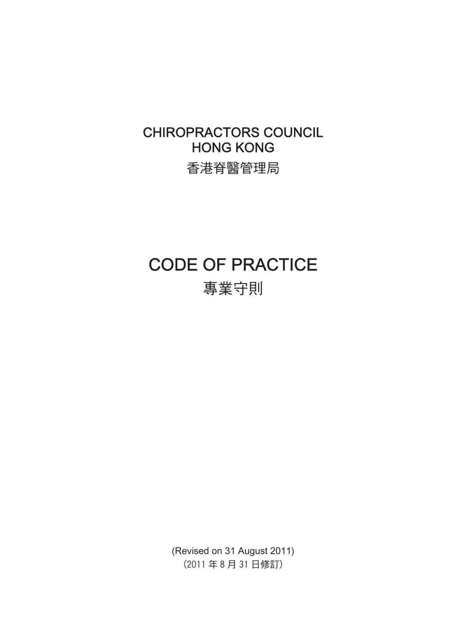## CHIROPRACTORS COUNCIL **HONG KONG**

香港脊醫管理局

# CODE OF PRACTICE

專業守則

(Revised on 31 August 2011) (2011年8月31日修訂)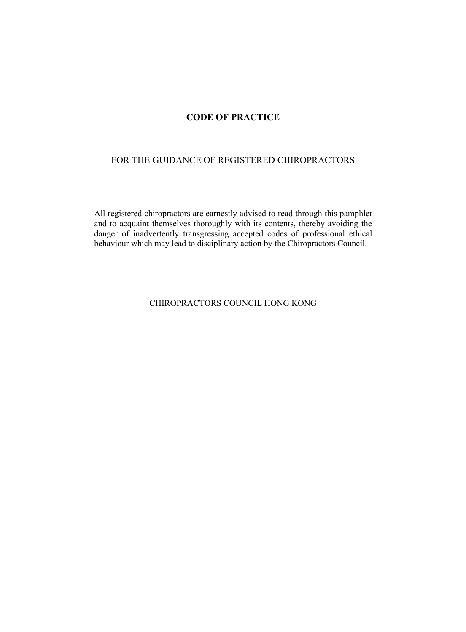## **CODE OF PRACTICE**

## FOR THE GUIDANCE OF REGISTERED CHIROPRACTORS

All registered chiropractors are earnestly advised to read through this pamphlet and to acquaint themselves thoroughly with its contents, thereby avoiding the danger of inadvertently transgressing accepted codes of professional ethical behaviour which may lead to disciplinary action by the Chiropractors Council.

CHIROPRACTORS COUNCIL HONG KONG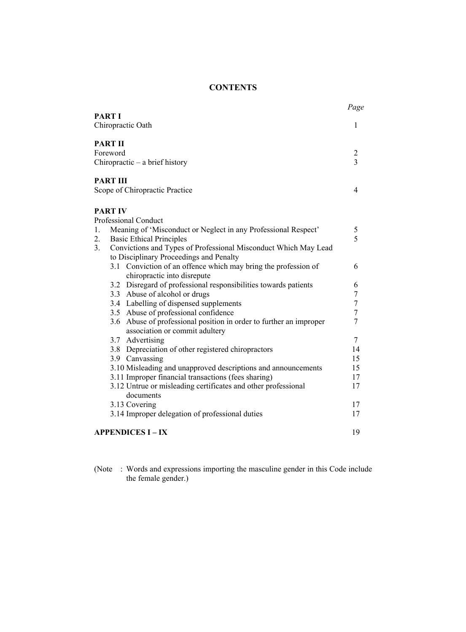## **CONTENTS**

|                            |                                                                                                                           | Page                                      |
|----------------------------|---------------------------------------------------------------------------------------------------------------------------|-------------------------------------------|
| <b>PART I</b>              | Chiropractic Oath                                                                                                         | 1                                         |
| <b>PART II</b><br>Foreword | Chiropractic – a brief history                                                                                            | $\overline{c}$<br>$\overline{\mathbf{3}}$ |
|                            |                                                                                                                           |                                           |
| <b>PART III</b>            | Scope of Chiropractic Practice                                                                                            | 4                                         |
| <b>PART IV</b>             |                                                                                                                           |                                           |
| 1.<br>$\overline{2}$ .     | Professional Conduct<br>Meaning of 'Misconduct or Neglect in any Professional Respect'<br><b>Basic Ethical Principles</b> | 5<br>5                                    |
| 3 <sub>1</sub>             | Convictions and Types of Professional Misconduct Which May Lead                                                           |                                           |
|                            | to Disciplinary Proceedings and Penalty                                                                                   | 6                                         |
|                            | 3.1 Conviction of an offence which may bring the profession of<br>chiropractic into disrepute                             |                                           |
|                            | 3.2 Disregard of professional responsibilities towards patients                                                           | 6                                         |
|                            | 3.3 Abuse of alcohol or drugs                                                                                             | 7                                         |
|                            | 3.4 Labelling of dispensed supplements                                                                                    | $\boldsymbol{7}$                          |
|                            | 3.5 Abuse of professional confidence                                                                                      | $\overline{7}$                            |
|                            | 3.6 Abuse of professional position in order to further an improper<br>association or commit adultery                      | 7                                         |
|                            | 3.7 Advertising                                                                                                           | $\overline{7}$                            |
|                            | 3.8 Depreciation of other registered chiropractors                                                                        | 14                                        |
|                            | 3.9 Canvassing                                                                                                            | 15                                        |
|                            | 3.10 Misleading and unapproved descriptions and announcements                                                             | 15                                        |
|                            | 3.11 Improper financial transactions (fees sharing)                                                                       | 17                                        |
|                            | 3.12 Untrue or misleading certificates and other professional<br>documents                                                | 17                                        |
|                            | 3.13 Covering                                                                                                             | 17                                        |
|                            | 3.14 Improper delegation of professional duties                                                                           | 17                                        |
|                            |                                                                                                                           |                                           |
|                            | <b>APPENDICES I – IX</b>                                                                                                  | 19                                        |

(Note : Words and expressions importing the masculine gender in this Code include the female gender.)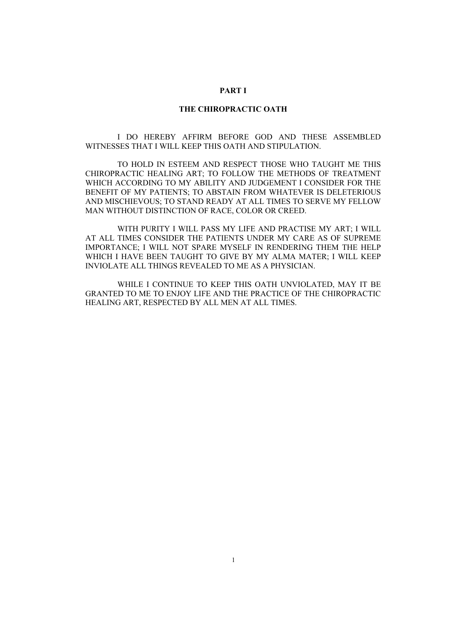#### **PART I**

#### **THE CHIROPRACTIC OATH**

 I DO HEREBY AFFIRM BEFORE GOD AND THESE ASSEMBLED WITNESSES THAT I WILL KEEP THIS OATH AND STIPULATION.

 TO HOLD IN ESTEEM AND RESPECT THOSE WHO TAUGHT ME THIS CHIROPRACTIC HEALING ART; TO FOLLOW THE METHODS OF TREATMENT WHICH ACCORDING TO MY ABILITY AND JUDGEMENT I CONSIDER FOR THE BENEFIT OF MY PATIENTS; TO ABSTAIN FROM WHATEVER IS DELETERIOUS AND MISCHIEVOUS; TO STAND READY AT ALL TIMES TO SERVE MY FELLOW MAN WITHOUT DISTINCTION OF RACE, COLOR OR CREED.

 WITH PURITY I WILL PASS MY LIFE AND PRACTISE MY ART; I WILL AT ALL TIMES CONSIDER THE PATIENTS UNDER MY CARE AS OF SUPREME IMPORTANCE; I WILL NOT SPARE MYSELF IN RENDERING THEM THE HELP WHICH I HAVE BEEN TAUGHT TO GIVE BY MY ALMA MATER; I WILL KEEP INVIOLATE ALL THINGS REVEALED TO ME AS A PHYSICIAN.

 WHILE I CONTINUE TO KEEP THIS OATH UNVIOLATED, MAY IT BE GRANTED TO ME TO ENJOY LIFE AND THE PRACTICE OF THE CHIROPRACTIC HEALING ART, RESPECTED BY ALL MEN AT ALL TIMES.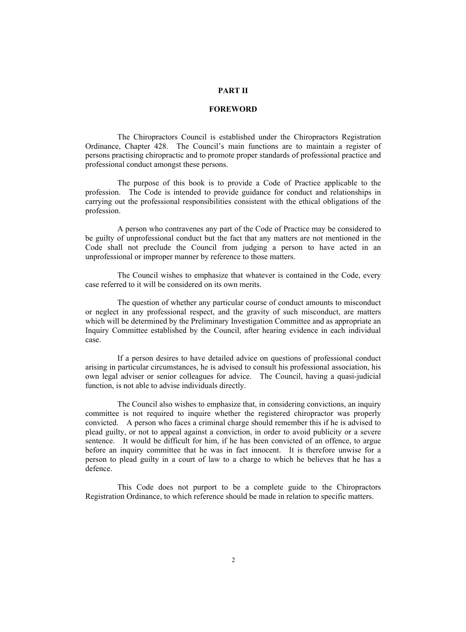#### **PART II**

#### **FOREWORD**

 The Chiropractors Council is established under the Chiropractors Registration Ordinance, Chapter 428. The Council's main functions are to maintain a register of persons practising chiropractic and to promote proper standards of professional practice and professional conduct amongst these persons.

 The purpose of this book is to provide a Code of Practice applicable to the profession. The Code is intended to provide guidance for conduct and relationships in carrying out the professional responsibilities consistent with the ethical obligations of the profession.

 A person who contravenes any part of the Code of Practice may be considered to be guilty of unprofessional conduct but the fact that any matters are not mentioned in the Code shall not preclude the Council from judging a person to have acted in an unprofessional or improper manner by reference to those matters.

 The Council wishes to emphasize that whatever is contained in the Code, every case referred to it will be considered on its own merits.

 The question of whether any particular course of conduct amounts to misconduct or neglect in any professional respect, and the gravity of such misconduct, are matters which will be determined by the Preliminary Investigation Committee and as appropriate an Inquiry Committee established by the Council, after hearing evidence in each individual case.

 If a person desires to have detailed advice on questions of professional conduct arising in particular circumstances, he is advised to consult his professional association, his own legal adviser or senior colleagues for advice. The Council, having a quasi-judicial function, is not able to advise individuals directly.

 The Council also wishes to emphasize that, in considering convictions, an inquiry committee is not required to inquire whether the registered chiropractor was properly convicted. A person who faces a criminal charge should remember this if he is advised to plead guilty, or not to appeal against a conviction, in order to avoid publicity or a severe sentence. It would be difficult for him, if he has been convicted of an offence, to argue before an inquiry committee that he was in fact innocent. It is therefore unwise for a person to plead guilty in a court of law to a charge to which he believes that he has a defence.

 This Code does not purport to be a complete guide to the Chiropractors Registration Ordinance, to which reference should be made in relation to specific matters.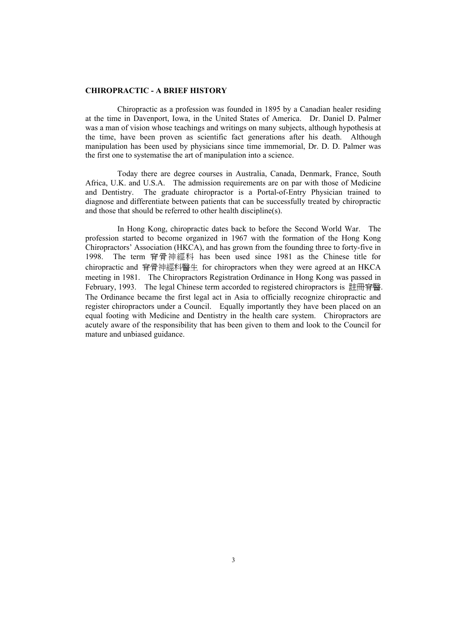#### **CHIROPRACTIC - A BRIEF HISTORY**

 Chiropractic as a profession was founded in 1895 by a Canadian healer residing at the time in Davenport, Iowa, in the United States of America. Dr. Daniel D. Palmer was a man of vision whose teachings and writings on many subjects, although hypothesis at the time, have been proven as scientific fact generations after his death. Although manipulation has been used by physicians since time immemorial, Dr. D. D. Palmer was the first one to systematise the art of manipulation into a science.

 Today there are degree courses in Australia, Canada, Denmark, France, South Africa, U.K. and U.S.A. The admission requirements are on par with those of Medicine and Dentistry. The graduate chiropractor is a Portal-of-Entry Physician trained to diagnose and differentiate between patients that can be successfully treated by chiropractic and those that should be referred to other health discipline(s).

 In Hong Kong, chiropractic dates back to before the Second World War. The profession started to become organized in 1967 with the formation of the Hong Kong Chiropractors' Association (HKCA), and has grown from the founding three to forty-five in<br>1998 The term 春骨神經科 has been used since 1981 as the Chinese title for The term 脊骨神經科 has been used since 1981 as the Chinese title for chiropractic and 脊骨神經科醫生 for chiropractors when they were agreed at an HKCA meeting in 1981. The Chiropractors Registration Ordinance in Hong Kong was passed in February, 1993. The legal Chinese term accorded to registered chiropractors is 註冊脊醫. The Ordinance became the first legal act in Asia to officially recognize chiropractic and register chiropractors under a Council. Equally importantly they have been placed on an equal footing with Medicine and Dentistry in the health care system. Chiropractors are acutely aware of the responsibility that has been given to them and look to the Council for mature and unbiased guidance.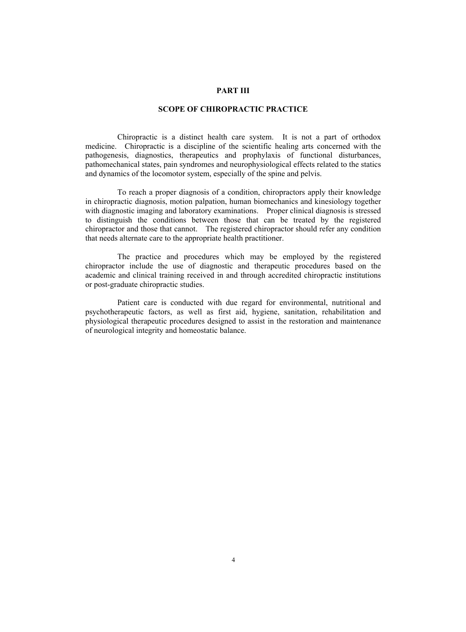#### **PART III**

#### **SCOPE OF CHIROPRACTIC PRACTICE**

 Chiropractic is a distinct health care system. It is not a part of orthodox medicine. Chiropractic is a discipline of the scientific healing arts concerned with the pathogenesis, diagnostics, therapeutics and prophylaxis of functional disturbances, pathomechanical states, pain syndromes and neurophysiological effects related to the statics and dynamics of the locomotor system, especially of the spine and pelvis.

 To reach a proper diagnosis of a condition, chiropractors apply their knowledge in chiropractic diagnosis, motion palpation, human biomechanics and kinesiology together with diagnostic imaging and laboratory examinations. Proper clinical diagnosis is stressed to distinguish the conditions between those that can be treated by the registered chiropractor and those that cannot. The registered chiropractor should refer any condition that needs alternate care to the appropriate health practitioner.

 The practice and procedures which may be employed by the registered chiropractor include the use of diagnostic and therapeutic procedures based on the academic and clinical training received in and through accredited chiropractic institutions or post-graduate chiropractic studies.

 Patient care is conducted with due regard for environmental, nutritional and psychotherapeutic factors, as well as first aid, hygiene, sanitation, rehabilitation and physiological therapeutic procedures designed to assist in the restoration and maintenance of neurological integrity and homeostatic balance.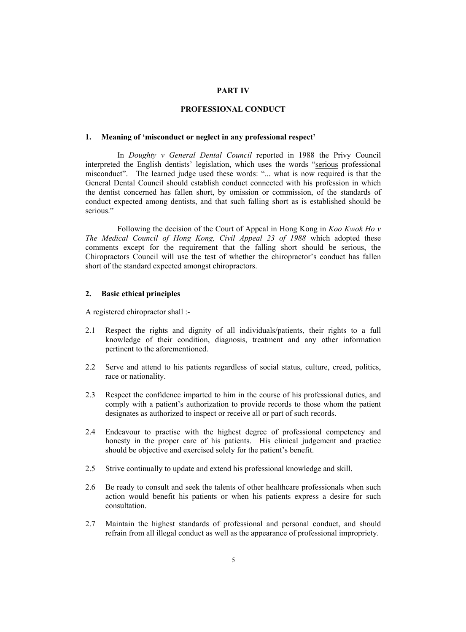#### **PART IV**

#### **PROFESSIONAL CONDUCT**

#### **1. Meaning of 'misconduct or neglect in any professional respect'**

 In *Doughty v General Dental Council* reported in 1988 the Privy Council interpreted the English dentists' legislation, which uses the words "serious professional misconduct". The learned judge used these words: "... what is now required is that the General Dental Council should establish conduct connected with his profession in which the dentist concerned has fallen short, by omission or commission, of the standards of conduct expected among dentists, and that such falling short as is established should be serious."

 Following the decision of the Court of Appeal in Hong Kong in *Koo Kwok Ho v The Medical Council of Hong Kong, Civil Appeal 23 of 1988* which adopted these comments except for the requirement that the falling short should be serious, the Chiropractors Council will use the test of whether the chiropractor's conduct has fallen short of the standard expected amongst chiropractors.

#### **2. Basic ethical principles**

A registered chiropractor shall :-

- 2.1 Respect the rights and dignity of all individuals/patients, their rights to a full knowledge of their condition, diagnosis, treatment and any other information pertinent to the aforementioned.
- 2.2 Serve and attend to his patients regardless of social status, culture, creed, politics, race or nationality.
- 2.3 Respect the confidence imparted to him in the course of his professional duties, and comply with a patient's authorization to provide records to those whom the patient designates as authorized to inspect or receive all or part of such records.
- 2.4 Endeavour to practise with the highest degree of professional competency and honesty in the proper care of his patients. His clinical judgement and practice should be objective and exercised solely for the patient's benefit.
- 2.5 Strive continually to update and extend his professional knowledge and skill.
- 2.6 Be ready to consult and seek the talents of other healthcare professionals when such action would benefit his patients or when his patients express a desire for such consultation.
- 2.7 Maintain the highest standards of professional and personal conduct, and should refrain from all illegal conduct as well as the appearance of professional impropriety.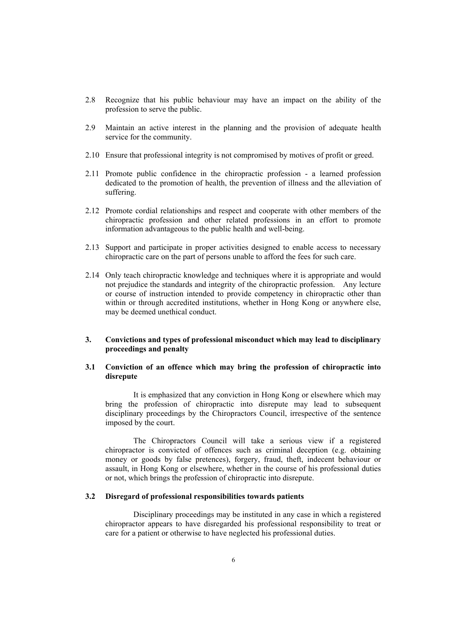- 2.8 Recognize that his public behaviour may have an impact on the ability of the profession to serve the public.
- 2.9 Maintain an active interest in the planning and the provision of adequate health service for the community.
- 2.10 Ensure that professional integrity is not compromised by motives of profit or greed.
- 2.11 Promote public confidence in the chiropractic profession a learned profession dedicated to the promotion of health, the prevention of illness and the alleviation of suffering.
- 2.12 Promote cordial relationships and respect and cooperate with other members of the chiropractic profession and other related professions in an effort to promote information advantageous to the public health and well-being.
- 2.13 Support and participate in proper activities designed to enable access to necessary chiropractic care on the part of persons unable to afford the fees for such care.
- 2.14 Only teach chiropractic knowledge and techniques where it is appropriate and would not prejudice the standards and integrity of the chiropractic profession. Any lecture or course of instruction intended to provide competency in chiropractic other than within or through accredited institutions, whether in Hong Kong or anywhere else, may be deemed unethical conduct.

#### **3. Convictions and types of professional misconduct which may lead to disciplinary proceedings and penalty**

#### **3.1 Conviction of an offence which may bring the profession of chiropractic into disrepute**

 It is emphasized that any conviction in Hong Kong or elsewhere which may bring the profession of chiropractic into disrepute may lead to subsequent disciplinary proceedings by the Chiropractors Council, irrespective of the sentence imposed by the court.

 The Chiropractors Council will take a serious view if a registered chiropractor is convicted of offences such as criminal deception (e.g. obtaining money or goods by false pretences), forgery, fraud, theft, indecent behaviour or assault, in Hong Kong or elsewhere, whether in the course of his professional duties or not, which brings the profession of chiropractic into disrepute.

#### **3.2 Disregard of professional responsibilities towards patients**

 Disciplinary proceedings may be instituted in any case in which a registered chiropractor appears to have disregarded his professional responsibility to treat or care for a patient or otherwise to have neglected his professional duties.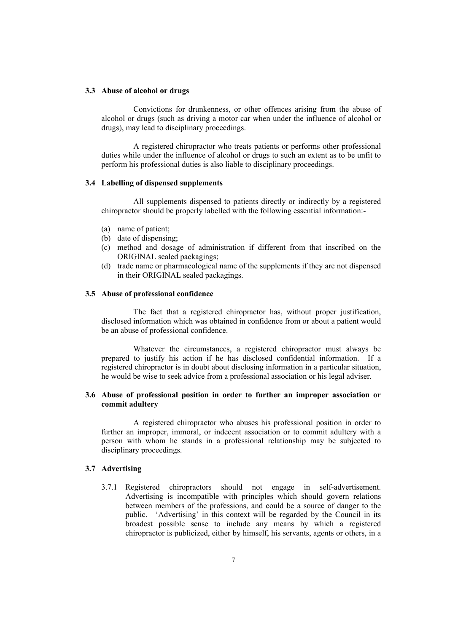#### **3.3 Abuse of alcohol or drugs**

 Convictions for drunkenness, or other offences arising from the abuse of alcohol or drugs (such as driving a motor car when under the influence of alcohol or drugs), may lead to disciplinary proceedings.

 A registered chiropractor who treats patients or performs other professional duties while under the influence of alcohol or drugs to such an extent as to be unfit to perform his professional duties is also liable to disciplinary proceedings.

#### **3.4 Labelling of dispensed supplements**

 All supplements dispensed to patients directly or indirectly by a registered chiropractor should be properly labelled with the following essential information:-

- (a) name of patient;
- (b) date of dispensing;
- (c) method and dosage of administration if different from that inscribed on the ORIGINAL sealed packagings;
- (d) trade name or pharmacological name of the supplements if they are not dispensed in their ORIGINAL sealed packagings.

#### **3.5 Abuse of professional confidence**

 The fact that a registered chiropractor has, without proper justification, disclosed information which was obtained in confidence from or about a patient would be an abuse of professional confidence.

 Whatever the circumstances, a registered chiropractor must always be prepared to justify his action if he has disclosed confidential information. If a registered chiropractor is in doubt about disclosing information in a particular situation, he would be wise to seek advice from a professional association or his legal adviser.

#### **3.6 Abuse of professional position in order to further an improper association or commit adultery**

 A registered chiropractor who abuses his professional position in order to further an improper, immoral, or indecent association or to commit adultery with a person with whom he stands in a professional relationship may be subjected to disciplinary proceedings.

#### **3.7 Advertising**

3.7.1 Registered chiropractors should not engage in self-advertisement. Advertising is incompatible with principles which should govern relations between members of the professions, and could be a source of danger to the public. 'Advertising' in this context will be regarded by the Council in its broadest possible sense to include any means by which a registered chiropractor is publicized, either by himself, his servants, agents or others, in a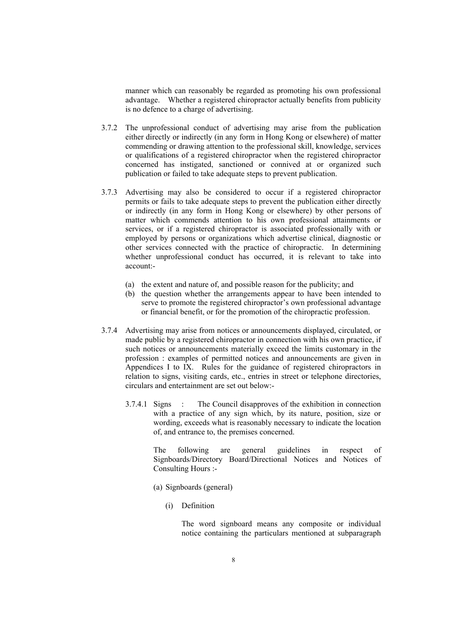manner which can reasonably be regarded as promoting his own professional advantage. Whether a registered chiropractor actually benefits from publicity is no defence to a charge of advertising.

- 3.7.2 The unprofessional conduct of advertising may arise from the publication either directly or indirectly (in any form in Hong Kong or elsewhere) of matter commending or drawing attention to the professional skill, knowledge, services or qualifications of a registered chiropractor when the registered chiropractor concerned has instigated, sanctioned or connived at or organized such publication or failed to take adequate steps to prevent publication.
- 3.7.3 Advertising may also be considered to occur if a registered chiropractor permits or fails to take adequate steps to prevent the publication either directly or indirectly (in any form in Hong Kong or elsewhere) by other persons of matter which commends attention to his own professional attainments or services, or if a registered chiropractor is associated professionally with or employed by persons or organizations which advertise clinical, diagnostic or other services connected with the practice of chiropractic. In determining whether unprofessional conduct has occurred, it is relevant to take into account:-
	- (a) the extent and nature of, and possible reason for the publicity; and
	- (b) the question whether the arrangements appear to have been intended to serve to promote the registered chiropractor's own professional advantage or financial benefit, or for the promotion of the chiropractic profession.
- 3.7.4 Advertising may arise from notices or announcements displayed, circulated, or made public by a registered chiropractor in connection with his own practice, if such notices or announcements materially exceed the limits customary in the profession : examples of permitted notices and announcements are given in Appendices I to IX. Rules for the guidance of registered chiropractors in relation to signs, visiting cards, etc., entries in street or telephone directories, circulars and entertainment are set out below:-
	- 3.7.4.1 Signs : The Council disapproves of the exhibition in connection with a practice of any sign which, by its nature, position, size or wording, exceeds what is reasonably necessary to indicate the location of, and entrance to, the premises concerned.

The following are general guidelines in respect of Signboards/Directory Board/Directional Notices and Notices of Consulting Hours :-

- (a) Signboards (general)
	- (i) Definition

The word signboard means any composite or individual notice containing the particulars mentioned at subparagraph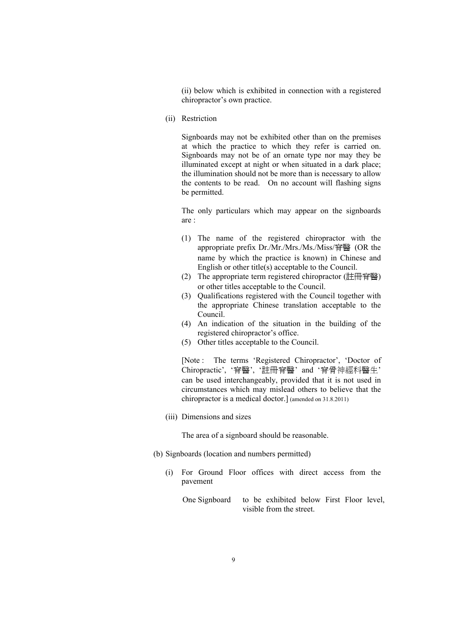(ii) below which is exhibited in connection with a registered chiropractor's own practice.

(ii) Restriction

 Signboards may not be exhibited other than on the premises at which the practice to which they refer is carried on. Signboards may not be of an ornate type nor may they be illuminated except at night or when situated in a dark place; the illumination should not be more than is necessary to allow the contents to be read. On no account will flashing signs be permitted.

The only particulars which may appear on the signboards are :

- (1) The name of the registered chiropractor with the appropriate prefix Dr./Mr./Mrs./Ms./Miss/脊醫 (OR the name by which the practice is known) in Chinese and English or other title(s) acceptable to the Council.
- (2) The appropriate term registered chiropractor (註冊脊醫) or other titles acceptable to the Council.
- (3) Qualifications registered with the Council together with the appropriate Chinese translation acceptable to the Council.
- (4) An indication of the situation in the building of the registered chiropractor's office.
- (5) Other titles acceptable to the Council.

[Note : The terms 'Registered Chiropractor', 'Doctor of Chiropractic', '脊醫', '註冊脊醫' and '脊骨神經科醫生' can be used interchangeably, provided that it is not used in circumstances which may mislead others to believe that the chiropractor is a medical doctor.] (amended on 31.8.2011)

(iii) Dimensions and sizes

The area of a signboard should be reasonable.

- (b) Signboards (location and numbers permitted)
	- (i) For Ground Floor offices with direct access from the pavement

One Signboard to be exhibited below First Floor level, visible from the street.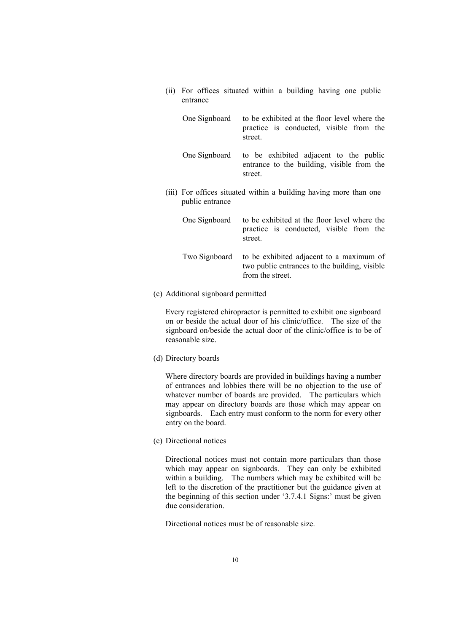(ii) For offices situated within a building having one public entrance

| One Signboard   | to be exhibited at the floor level where the<br>practice is conducted, visible from the<br>street. |
|-----------------|----------------------------------------------------------------------------------------------------|
| One Signboard   | to be exhibited adjacent to the public<br>entrance to the building, visible from the<br>street.    |
| public entrance | (iii) For offices situated within a building having more than one                                  |

| One Signboard | to be exhibited at the floor level where the<br>practice is conducted, visible from the<br>street.            |
|---------------|---------------------------------------------------------------------------------------------------------------|
| Two Signboard | to be exhibited adjacent to a maximum of<br>two public entrances to the building, visible<br>from the street. |

(c) Additional signboard permitted

 Every registered chiropractor is permitted to exhibit one signboard on or beside the actual door of his clinic/office. The size of the signboard on/beside the actual door of the clinic/office is to be of reasonable size.

(d) Directory boards

 Where directory boards are provided in buildings having a number of entrances and lobbies there will be no objection to the use of whatever number of boards are provided. The particulars which may appear on directory boards are those which may appear on signboards. Each entry must conform to the norm for every other entry on the board.

(e) Directional notices

 Directional notices must not contain more particulars than those which may appear on signboards. They can only be exhibited within a building. The numbers which may be exhibited will be left to the discretion of the practitioner but the guidance given at the beginning of this section under '3.7.4.1 Signs:' must be given due consideration.

Directional notices must be of reasonable size.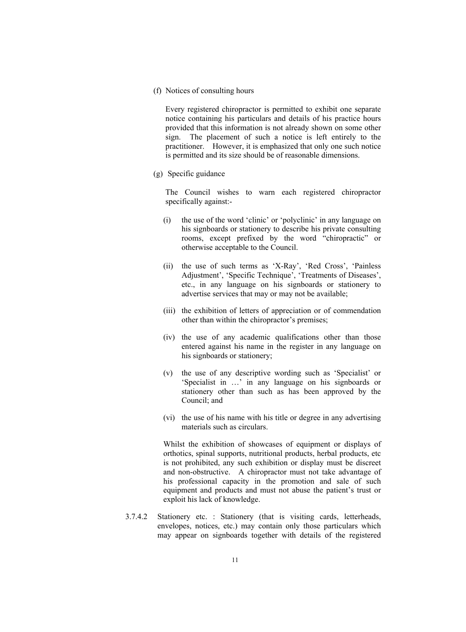(f) Notices of consulting hours

 Every registered chiropractor is permitted to exhibit one separate notice containing his particulars and details of his practice hours provided that this information is not already shown on some other sign. The placement of such a notice is left entirely to the practitioner. However, it is emphasized that only one such notice is permitted and its size should be of reasonable dimensions.

(g) Specific guidance

 The Council wishes to warn each registered chiropractor specifically against:-

- (i) the use of the word 'clinic' or 'polyclinic' in any language on his signboards or stationery to describe his private consulting rooms, except prefixed by the word "chiropractic" or otherwise acceptable to the Council.
- (ii) the use of such terms as 'X-Ray', 'Red Cross', 'Painless Adjustment', 'Specific Technique', 'Treatments of Diseases', etc., in any language on his signboards or stationery to advertise services that may or may not be available;
- (iii) the exhibition of letters of appreciation or of commendation other than within the chiropractor's premises;
- (iv) the use of any academic qualifications other than those entered against his name in the register in any language on his signboards or stationery;
- (v) the use of any descriptive wording such as 'Specialist' or 'Specialist in …' in any language on his signboards or stationery other than such as has been approved by the Council; and
- (vi) the use of his name with his title or degree in any advertising materials such as circulars.

Whilst the exhibition of showcases of equipment or displays of orthotics, spinal supports, nutritional products, herbal products, etc is not prohibited, any such exhibition or display must be discreet and non-obstructive. A chiropractor must not take advantage of his professional capacity in the promotion and sale of such equipment and products and must not abuse the patient's trust or exploit his lack of knowledge.

3.7.4.2 Stationery etc. : Stationery (that is visiting cards, letterheads, envelopes, notices, etc.) may contain only those particulars which may appear on signboards together with details of the registered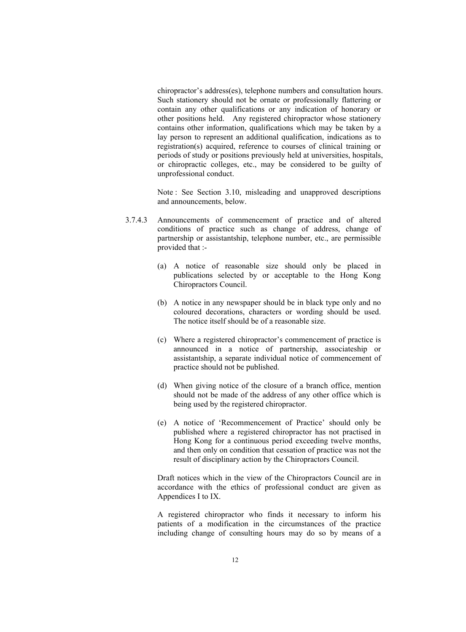chiropractor's address(es), telephone numbers and consultation hours. Such stationery should not be ornate or professionally flattering or contain any other qualifications or any indication of honorary or other positions held. Any registered chiropractor whose stationery contains other information, qualifications which may be taken by a lay person to represent an additional qualification, indications as to registration(s) acquired, reference to courses of clinical training or periods of study or positions previously held at universities, hospitals, or chiropractic colleges, etc., may be considered to be guilty of unprofessional conduct.

Note : See Section 3.10, misleading and unapproved descriptions and announcements, below.

- 3.7.4.3 Announcements of commencement of practice and of altered conditions of practice such as change of address, change of partnership or assistantship, telephone number, etc., are permissible provided that :-
	- (a) A notice of reasonable size should only be placed in publications selected by or acceptable to the Hong Kong Chiropractors Council.
	- (b) A notice in any newspaper should be in black type only and no coloured decorations, characters or wording should be used. The notice itself should be of a reasonable size.
	- (c) Where a registered chiropractor's commencement of practice is announced in a notice of partnership, associateship or assistantship, a separate individual notice of commencement of practice should not be published.
	- (d) When giving notice of the closure of a branch office, mention should not be made of the address of any other office which is being used by the registered chiropractor.
	- (e) A notice of 'Recommencement of Practice' should only be published where a registered chiropractor has not practised in Hong Kong for a continuous period exceeding twelve months, and then only on condition that cessation of practice was not the result of disciplinary action by the Chiropractors Council.

Draft notices which in the view of the Chiropractors Council are in accordance with the ethics of professional conduct are given as Appendices I to IX.

A registered chiropractor who finds it necessary to inform his patients of a modification in the circumstances of the practice including change of consulting hours may do so by means of a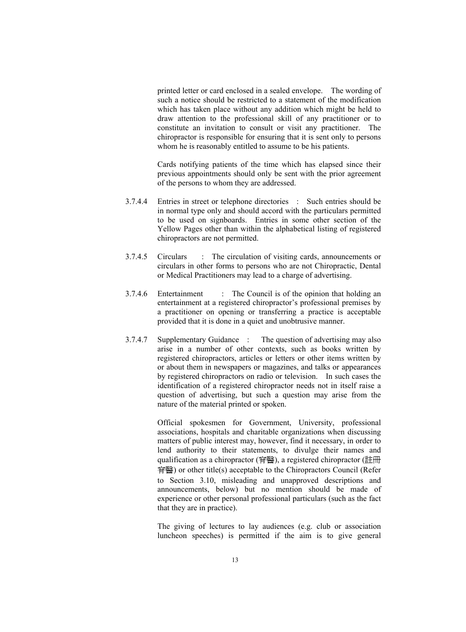printed letter or card enclosed in a sealed envelope. The wording of such a notice should be restricted to a statement of the modification which has taken place without any addition which might be held to draw attention to the professional skill of any practitioner or to constitute an invitation to consult or visit any practitioner. The chiropractor is responsible for ensuring that it is sent only to persons whom he is reasonably entitled to assume to be his patients.

Cards notifying patients of the time which has elapsed since their previous appointments should only be sent with the prior agreement of the persons to whom they are addressed.

- 3.7.4.4 Entries in street or telephone directories : Such entries should be in normal type only and should accord with the particulars permitted to be used on signboards. Entries in some other section of the Yellow Pages other than within the alphabetical listing of registered chiropractors are not permitted.
- 3.7.4.5 Circulars : The circulation of visiting cards, announcements or circulars in other forms to persons who are not Chiropractic, Dental or Medical Practitioners may lead to a charge of advertising.
- 3.7.4.6 Entertainment : The Council is of the opinion that holding an entertainment at a registered chiropractor's professional premises by a practitioner on opening or transferring a practice is acceptable provided that it is done in a quiet and unobtrusive manner.
- 3.7.4.7 Supplementary Guidance : The question of advertising may also arise in a number of other contexts, such as books written by registered chiropractors, articles or letters or other items written by or about them in newspapers or magazines, and talks or appearances by registered chiropractors on radio or television. In such cases the identification of a registered chiropractor needs not in itself raise a question of advertising, but such a question may arise from the nature of the material printed or spoken.

 Official spokesmen for Government, University, professional associations, hospitals and charitable organizations when discussing matters of public interest may, however, find it necessary, in order to lend authority to their statements, to divulge their names and qualification as a chiropractor (脊醫), a registered chiropractor (計冊) 脊醫) or other title(s) acceptable to the Chiropractors Council (Refer to Section 3.10, misleading and unapproved descriptions and announcements, below) but no mention should be made of experience or other personal professional particulars (such as the fact that they are in practice).

 The giving of lectures to lay audiences (e.g. club or association luncheon speeches) is permitted if the aim is to give general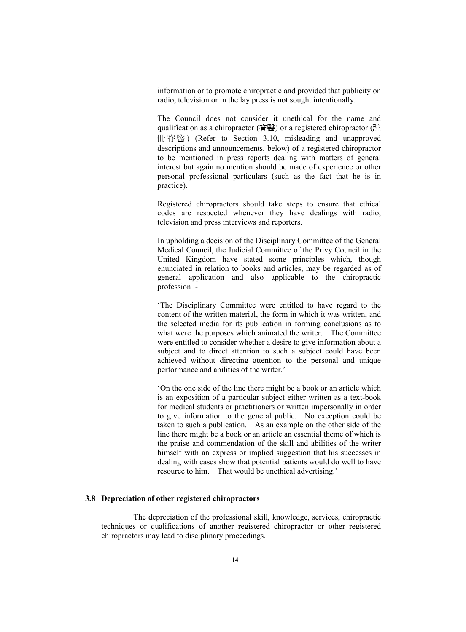information or to promote chiropractic and provided that publicity on radio, television or in the lay press is not sought intentionally.

 The Council does not consider it unethical for the name and qualification as a chiropractor (脊醫) or a registered chiropractor (註 冊 脊 翳 ) (Refer to Section 3.10, misleading and unapproved descriptions and announcements, below) of a registered chiropractor to be mentioned in press reports dealing with matters of general interest but again no mention should be made of experience or other personal professional particulars (such as the fact that he is in practice).

 Registered chiropractors should take steps to ensure that ethical codes are respected whenever they have dealings with radio, television and press interviews and reporters.

 In upholding a decision of the Disciplinary Committee of the General Medical Council, the Judicial Committee of the Privy Council in the United Kingdom have stated some principles which, though enunciated in relation to books and articles, may be regarded as of general application and also applicable to the chiropractic profession :-

 'The Disciplinary Committee were entitled to have regard to the content of the written material, the form in which it was written, and the selected media for its publication in forming conclusions as to what were the purposes which animated the writer. The Committee were entitled to consider whether a desire to give information about a subject and to direct attention to such a subject could have been achieved without directing attention to the personal and unique performance and abilities of the writer.'

 'On the one side of the line there might be a book or an article which is an exposition of a particular subject either written as a text-book for medical students or practitioners or written impersonally in order to give information to the general public. No exception could be taken to such a publication. As an example on the other side of the line there might be a book or an article an essential theme of which is the praise and commendation of the skill and abilities of the writer himself with an express or implied suggestion that his successes in dealing with cases show that potential patients would do well to have resource to him. That would be unethical advertising.'

#### **3.8 Depreciation of other registered chiropractors**

 The depreciation of the professional skill, knowledge, services, chiropractic techniques or qualifications of another registered chiropractor or other registered chiropractors may lead to disciplinary proceedings.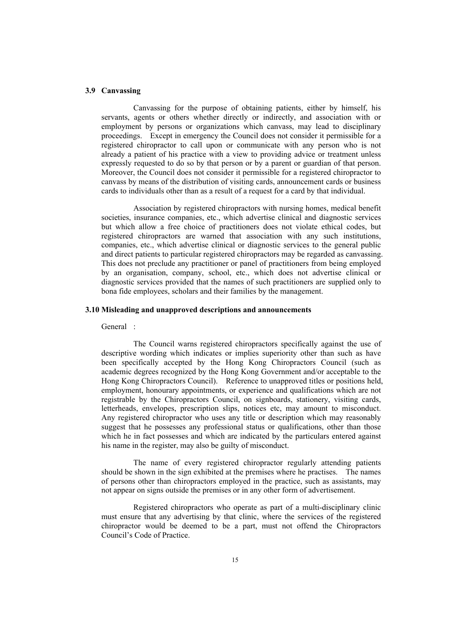#### **3.9 Canvassing**

 Canvassing for the purpose of obtaining patients, either by himself, his servants, agents or others whether directly or indirectly, and association with or employment by persons or organizations which canvass, may lead to disciplinary proceedings. Except in emergency the Council does not consider it permissible for a registered chiropractor to call upon or communicate with any person who is not already a patient of his practice with a view to providing advice or treatment unless expressly requested to do so by that person or by a parent or guardian of that person. Moreover, the Council does not consider it permissible for a registered chiropractor to canvass by means of the distribution of visiting cards, announcement cards or business cards to individuals other than as a result of a request for a card by that individual.

 Association by registered chiropractors with nursing homes, medical benefit societies, insurance companies, etc., which advertise clinical and diagnostic services but which allow a free choice of practitioners does not violate ethical codes, but registered chiropractors are warned that association with any such institutions, companies, etc., which advertise clinical or diagnostic services to the general public and direct patients to particular registered chiropractors may be regarded as canvassing. This does not preclude any practitioner or panel of practitioners from being employed by an organisation, company, school, etc., which does not advertise clinical or diagnostic services provided that the names of such practitioners are supplied only to bona fide employees, scholars and their families by the management.

#### **3.10 Misleading and unapproved descriptions and announcements**

General :

 The Council warns registered chiropractors specifically against the use of descriptive wording which indicates or implies superiority other than such as have been specifically accepted by the Hong Kong Chiropractors Council (such as academic degrees recognized by the Hong Kong Government and/or acceptable to the Hong Kong Chiropractors Council). Reference to unapproved titles or positions held, employment, honourary appointments, or experience and qualifications which are not registrable by the Chiropractors Council, on signboards, stationery, visiting cards, letterheads, envelopes, prescription slips, notices etc, may amount to misconduct. Any registered chiropractor who uses any title or description which may reasonably suggest that he possesses any professional status or qualifications, other than those which he in fact possesses and which are indicated by the particulars entered against his name in the register, may also be guilty of misconduct.

 The name of every registered chiropractor regularly attending patients should be shown in the sign exhibited at the premises where he practises. The names of persons other than chiropractors employed in the practice, such as assistants, may not appear on signs outside the premises or in any other form of advertisement.

 Registered chiropractors who operate as part of a multi-disciplinary clinic must ensure that any advertising by that clinic, where the services of the registered chiropractor would be deemed to be a part, must not offend the Chiropractors Council's Code of Practice.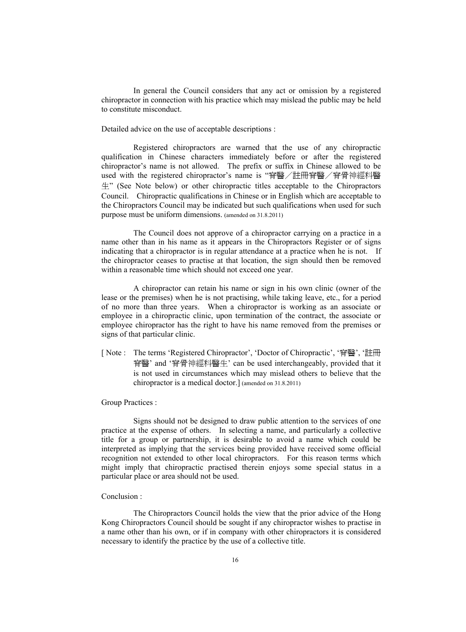In general the Council considers that any act or omission by a registered chiropractor in connection with his practice which may mislead the public may be held to constitute misconduct.

Detailed advice on the use of acceptable descriptions :

 Registered chiropractors are warned that the use of any chiropractic qualification in Chinese characters immediately before or after the registered chiropractor's name is not allowed. The prefix or suffix in Chinese allowed to be used with the registered chiropractor's name is "脊醫/註冊脊醫/脊骨神經科醫  $\#$ " (See Note below) or other chiropractic titles acceptable to the Chiropractors Council. Chiropractic qualifications in Chinese or in English which are acceptable to the Chiropractors Council may be indicated but such qualifications when used for such purpose must be uniform dimensions. (amended on 31.8.2011)

 The Council does not approve of a chiropractor carrying on a practice in a name other than in his name as it appears in the Chiropractors Register or of signs indicating that a chiropractor is in regular attendance at a practice when he is not. If the chiropractor ceases to practise at that location, the sign should then be removed within a reasonable time which should not exceed one year.

 A chiropractor can retain his name or sign in his own clinic (owner of the lease or the premises) when he is not practising, while taking leave, etc., for a period of no more than three years. When a chiropractor is working as an associate or employee in a chiropractic clinic, upon termination of the contract, the associate or employee chiropractor has the right to have his name removed from the premises or signs of that particular clinic.

[ Note : The terms 'Registered Chiropractor', 'Doctor of Chiropractic', '脊醫', '註冊 脊醫' and '脊骨神經科醫生' can be used interchangeably, provided that it is not used in circumstances which may mislead others to believe that the chiropractor is a medical doctor.] (amended on 31.8.2011)

Group Practices :

 Signs should not be designed to draw public attention to the services of one practice at the expense of others. In selecting a name, and particularly a collective title for a group or partnership, it is desirable to avoid a name which could be interpreted as implying that the services being provided have received some official recognition not extended to other local chiropractors. For this reason terms which might imply that chiropractic practised therein enjoys some special status in a particular place or area should not be used.

#### Conclusion :

 The Chiropractors Council holds the view that the prior advice of the Hong Kong Chiropractors Council should be sought if any chiropractor wishes to practise in a name other than his own, or if in company with other chiropractors it is considered necessary to identify the practice by the use of a collective title.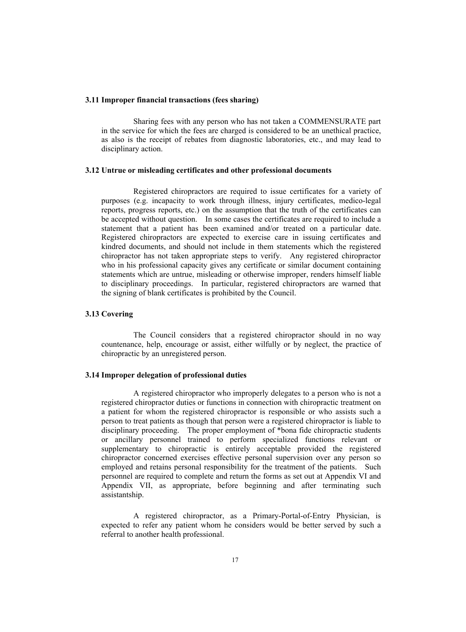#### **3.11 Improper financial transactions (fees sharing)**

 Sharing fees with any person who has not taken a COMMENSURATE part in the service for which the fees are charged is considered to be an unethical practice, as also is the receipt of rebates from diagnostic laboratories, etc., and may lead to disciplinary action.

#### **3.12 Untrue or misleading certificates and other professional documents**

 Registered chiropractors are required to issue certificates for a variety of purposes (e.g. incapacity to work through illness, injury certificates, medico-legal reports, progress reports, etc.) on the assumption that the truth of the certificates can be accepted without question. In some cases the certificates are required to include a statement that a patient has been examined and/or treated on a particular date. Registered chiropractors are expected to exercise care in issuing certificates and kindred documents, and should not include in them statements which the registered chiropractor has not taken appropriate steps to verify. Any registered chiropractor who in his professional capacity gives any certificate or similar document containing statements which are untrue, misleading or otherwise improper, renders himself liable to disciplinary proceedings. In particular, registered chiropractors are warned that the signing of blank certificates is prohibited by the Council.

#### **3.13 Covering**

 The Council considers that a registered chiropractor should in no way countenance, help, encourage or assist, either wilfully or by neglect, the practice of chiropractic by an unregistered person.

#### **3.14 Improper delegation of professional duties**

 A registered chiropractor who improperly delegates to a person who is not a registered chiropractor duties or functions in connection with chiropractic treatment on a patient for whom the registered chiropractor is responsible or who assists such a person to treat patients as though that person were a registered chiropractor is liable to disciplinary proceeding. The proper employment of \*bona fide chiropractic students or ancillary personnel trained to perform specialized functions relevant or supplementary to chiropractic is entirely acceptable provided the registered chiropractor concerned exercises effective personal supervision over any person so employed and retains personal responsibility for the treatment of the patients. Such personnel are required to complete and return the forms as set out at Appendix VI and Appendix VII, as appropriate, before beginning and after terminating such assistantship.

 A registered chiropractor, as a Primary-Portal-of-Entry Physician, is expected to refer any patient whom he considers would be better served by such a referral to another health professional.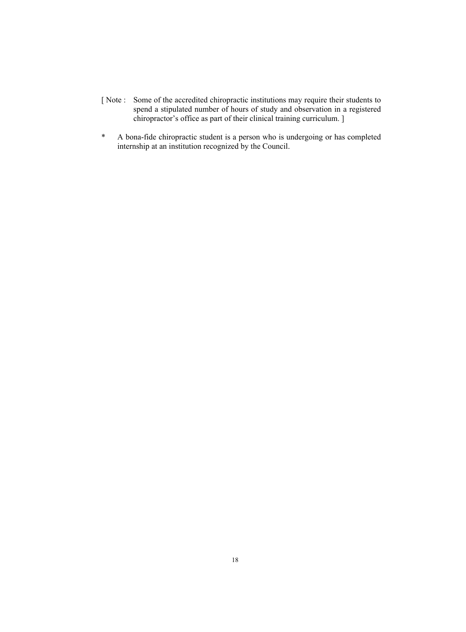- [ Note : Some of the accredited chiropractic institutions may require their students to spend a stipulated number of hours of study and observation in a registered chiropractor's office as part of their clinical training curriculum. ]
- \* A bona-fide chiropractic student is a person who is undergoing or has completed internship at an institution recognized by the Council.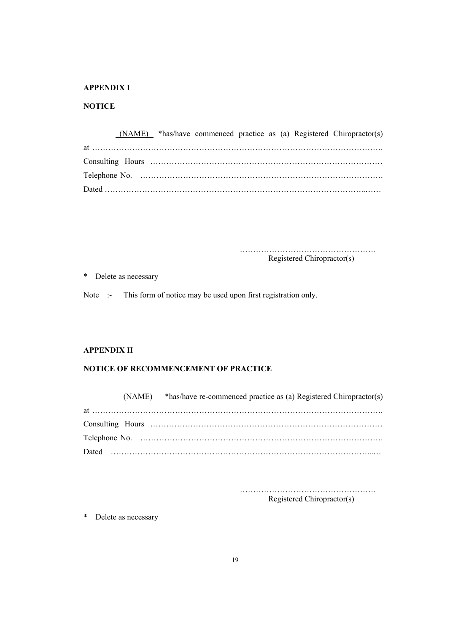#### **APPENDIX I**

#### **NOTICE**

 (NAME) \*has/have commenced practice as (a) Registered Chiropractor(s) at ………………………………………………………………………………………………. Consulting Hours …………………………………………………………………………… Telephone No. ………………………………………………………………………………. Dated ……………………………………………………………………………………..……

 …………………………………………… Registered Chiropractor(s)

\* Delete as necessary

Note :- This form of notice may be used upon first registration only.

#### **APPENDIX II**

#### **NOTICE OF RECOMMENCEMENT OF PRACTICE**

 (NAME) \*has/have re-commenced practice as (a) Registered Chiropractor(s) at ………………………………………………………………………………………………. Consulting Hours …………………………………………………………………………… Telephone No. ………………………………………………………………………………. Dated ……………………………………………………………………………………...…

……………………………………………

Registered Chiropractor(s)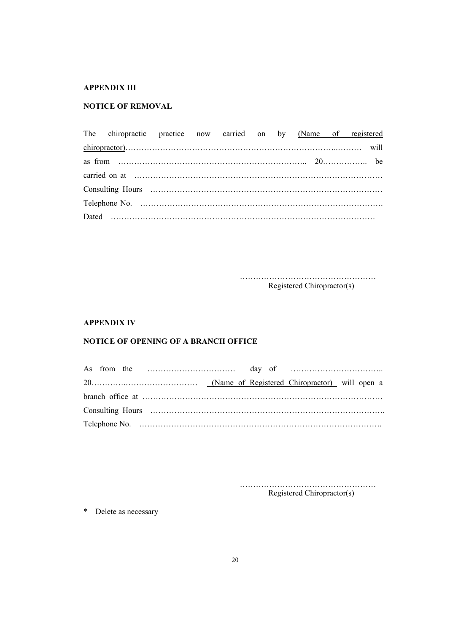## **APPENDIX III**

## **NOTICE OF REMOVAL**

| The chiropractic practice now carried on by (Name of registered |  |  |  |  |  |
|-----------------------------------------------------------------|--|--|--|--|--|
|                                                                 |  |  |  |  |  |
|                                                                 |  |  |  |  |  |
|                                                                 |  |  |  |  |  |
|                                                                 |  |  |  |  |  |
|                                                                 |  |  |  |  |  |
| Dated $\ldots$                                                  |  |  |  |  |  |

 …………………………………………… Registered Chiropractor(s)

## **APPENDIX IV**

## **NOTICE OF OPENING OF A BRANCH OFFICE**

 …………………………………………… Registered Chiropractor(s)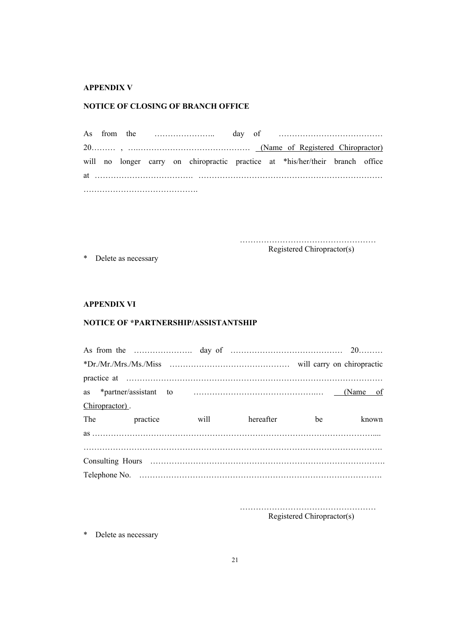#### **APPENDIX V**

#### **NOTICE OF CLOSING OF BRANCH OFFICE**

As from the ………………….. day of ………………………………… 20……… , ….…………………………………… (Name of Registered Chiropractor) will no longer carry on chiropractic practice at \*his/her/their branch office at ………………………………. …………………………………………………………… …………………………………….

> …………………………………………… Registered Chiropractor(s)

\* Delete as necessary

**APPENDIX VI** 

#### **NOTICE OF \*PARTNERSHIP/ASSISTANTSHIP**

| Chiropractor). |              |      |           |           |       |
|----------------|--------------|------|-----------|-----------|-------|
|                | The practice | will | hereafter | <b>be</b> | known |
|                |              |      |           |           |       |
|                |              |      |           |           |       |
|                |              |      |           |           |       |
|                |              |      |           |           |       |

 …………………………………………… Registered Chiropractor(s)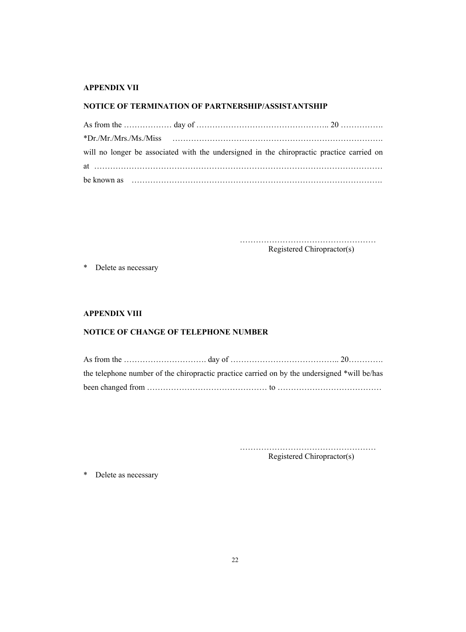## **APPENDIX VII**

## **NOTICE OF TERMINATION OF PARTNERSHIP/ASSISTANTSHIP**

|  |  | will no longer be associated with the undersigned in the chiropractic practice carried on |  |
|--|--|-------------------------------------------------------------------------------------------|--|
|  |  |                                                                                           |  |
|  |  |                                                                                           |  |

 …………………………………………… Registered Chiropractor(s)

\* Delete as necessary

#### **APPENDIX VIII**

## **NOTICE OF CHANGE OF TELEPHONE NUMBER**

|  | the telephone number of the chiropractic practice carried on by the undersigned *will be/has |
|--|----------------------------------------------------------------------------------------------|
|  |                                                                                              |

 …………………………………………… Registered Chiropractor(s)